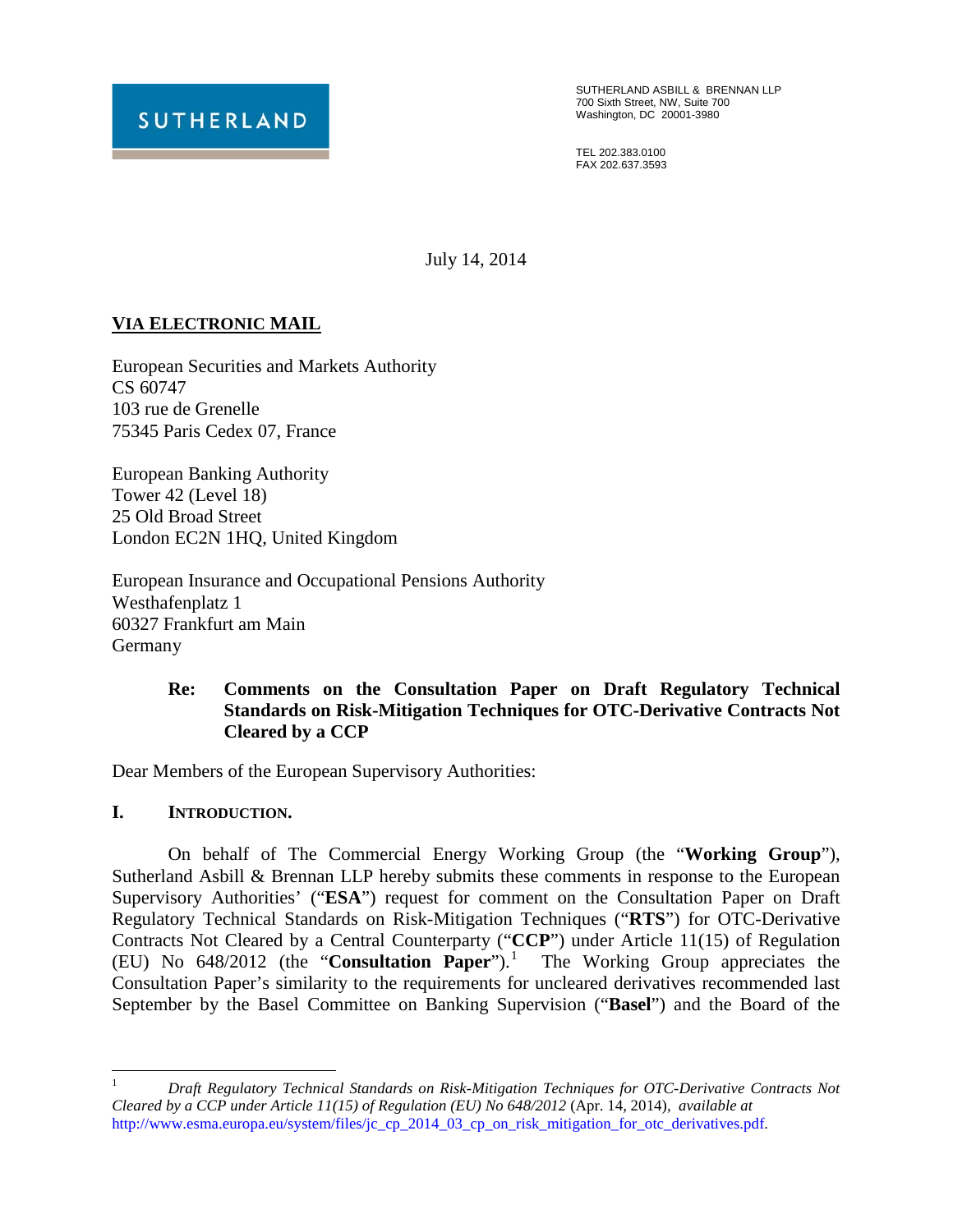

SUTHERLAND ASBILL & BRENNAN LLP 700 Sixth Street, NW, Suite 700 Washington, DC 20001-3980

TEL 202.383.0100 FAX 202.637.3593

July 14, 2014

# **VIA ELECTRONIC MAIL**

European Securities and Markets Authority CS 60747 103 rue de Grenelle 75345 Paris Cedex 07, France

European Banking Authority Tower 42 (Level 18) 25 Old Broad Street London EC2N 1HQ, United Kingdom

European Insurance and Occupational Pensions Authority Westhafenplatz 1 60327 Frankfurt am Main Germany

### **Re: Comments on the Consultation Paper on Draft Regulatory Technical Standards on Risk-Mitigation Techniques for OTC-Derivative Contracts Not Cleared by a CCP**

Dear Members of the European Supervisory Authorities:

**I. INTRODUCTION.**

On behalf of The Commercial Energy Working Group (the "**Working Group**"), Sutherland Asbill & Brennan LLP hereby submits these comments in response to the European Supervisory Authorities' ("**ESA**") request for comment on the Consultation Paper on Draft Regulatory Technical Standards on Risk-Mitigation Techniques ("**RTS**") for OTC-Derivative Contracts Not Cleared by a Central Counterparty ("**CCP**") under Article 11(15) of Regulation (EU) No 648/2012 (the "**Consultation Paper**").[1](#page-0-0) The Working Group appreciates the Consultation Paper's similarity to the requirements for uncleared derivatives recommended last September by the Basel Committee on Banking Supervision ("**Basel**") and the Board of the

<span id="page-0-0"></span> <sup>1</sup> *Draft Regulatory Technical Standards on Risk-Mitigation Techniques for OTC-Derivative Contracts Not Cleared by a CCP under Article 11(15) of Regulation (EU) No 648/2012* (Apr. 14, 2014), *available at* http://www.esma.europa.eu/system/files/jc\_cp\_2014\_03\_cp\_on\_risk\_mitigation\_for\_otc\_derivatives.pdf.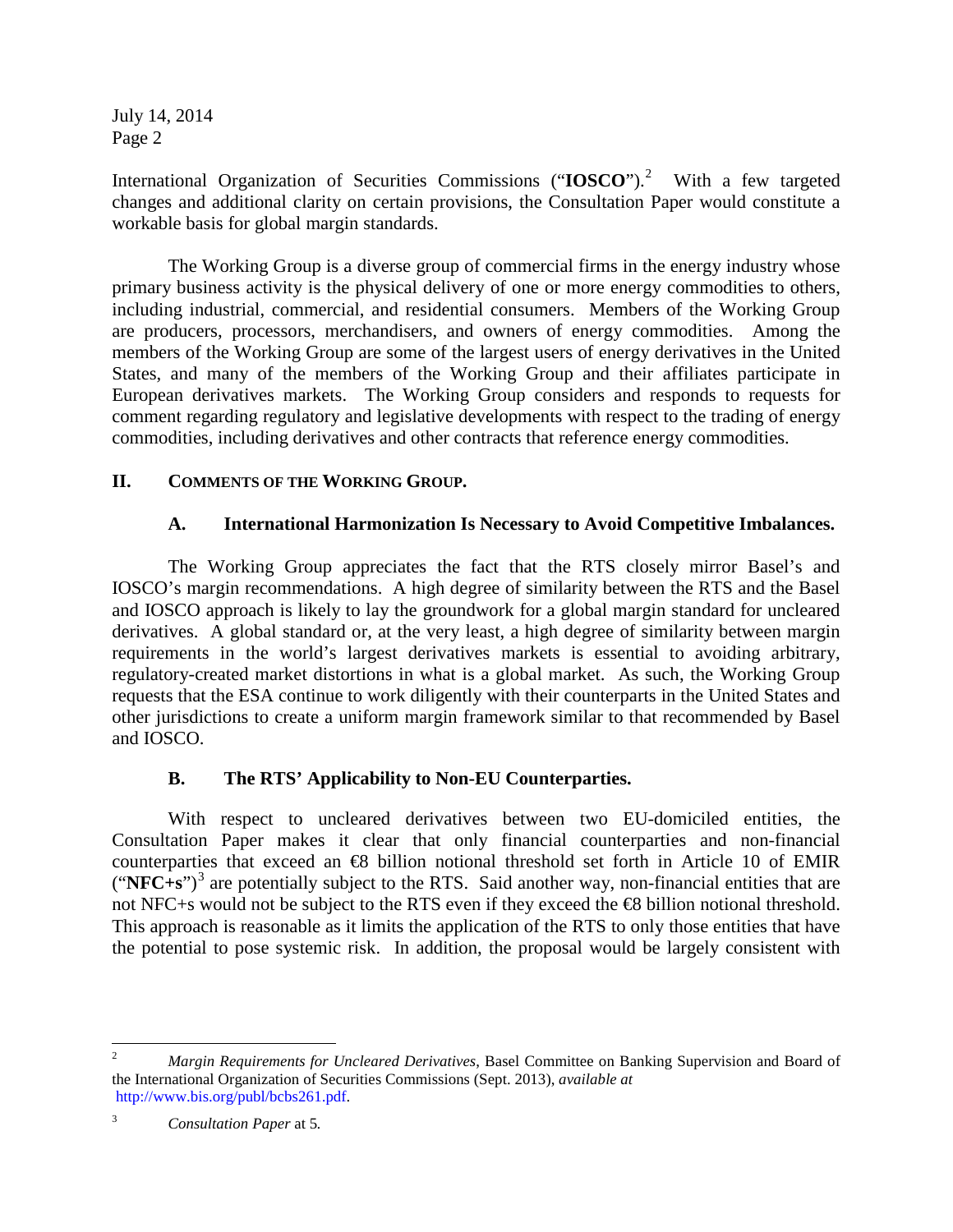International Organization of Securities Commissions ("IOSCO").<sup>[2](#page-1-0)</sup> With a few targeted changes and additional clarity on certain provisions, the Consultation Paper would constitute a workable basis for global margin standards.

The Working Group is a diverse group of commercial firms in the energy industry whose primary business activity is the physical delivery of one or more energy commodities to others, including industrial, commercial, and residential consumers. Members of the Working Group are producers, processors, merchandisers, and owners of energy commodities. Among the members of the Working Group are some of the largest users of energy derivatives in the United States, and many of the members of the Working Group and their affiliates participate in European derivatives markets. The Working Group considers and responds to requests for comment regarding regulatory and legislative developments with respect to the trading of energy commodities, including derivatives and other contracts that reference energy commodities.

### **II. COMMENTS OF THE WORKING GROUP.**

### **A. International Harmonization Is Necessary to Avoid Competitive Imbalances.**

The Working Group appreciates the fact that the RTS closely mirror Basel's and IOSCO's margin recommendations. A high degree of similarity between the RTS and the Basel and IOSCO approach is likely to lay the groundwork for a global margin standard for uncleared derivatives. A global standard or, at the very least, a high degree of similarity between margin requirements in the world's largest derivatives markets is essential to avoiding arbitrary, regulatory-created market distortions in what is a global market. As such, the Working Group requests that the ESA continue to work diligently with their counterparts in the United States and other jurisdictions to create a uniform margin framework similar to that recommended by Basel and IOSCO.

## **B. The RTS' Applicability to Non-EU Counterparties.**

With respect to uncleared derivatives between two EU-domiciled entities, the Consultation Paper makes it clear that only financial counterparties and non-financial counterparties that exceed an €8 billion notional threshold set forth in Article 10 of EMIR ("**NFC+s**")[3](#page-1-1) are potentially subject to the RTS. Said another way, non-financial entities that are not NFC+s would not be subject to the RTS even if they exceed the **€8** billion notional threshold. This approach is reasonable as it limits the application of the RTS to only those entities that have the potential to pose systemic risk. In addition, the proposal would be largely consistent with

<span id="page-1-0"></span> <sup>2</sup> *Margin Requirements for Uncleared Derivatives*, Basel Committee on Banking Supervision and Board of the International Organization of Securities Commissions (Sept. 2013), *available at* [http://www.bis.org/publ/bcbs261.pdf.](http://www.bis.org/publ/bcbs261.pdf)

<span id="page-1-1"></span><sup>3</sup> *Consultation Paper* at 5*.*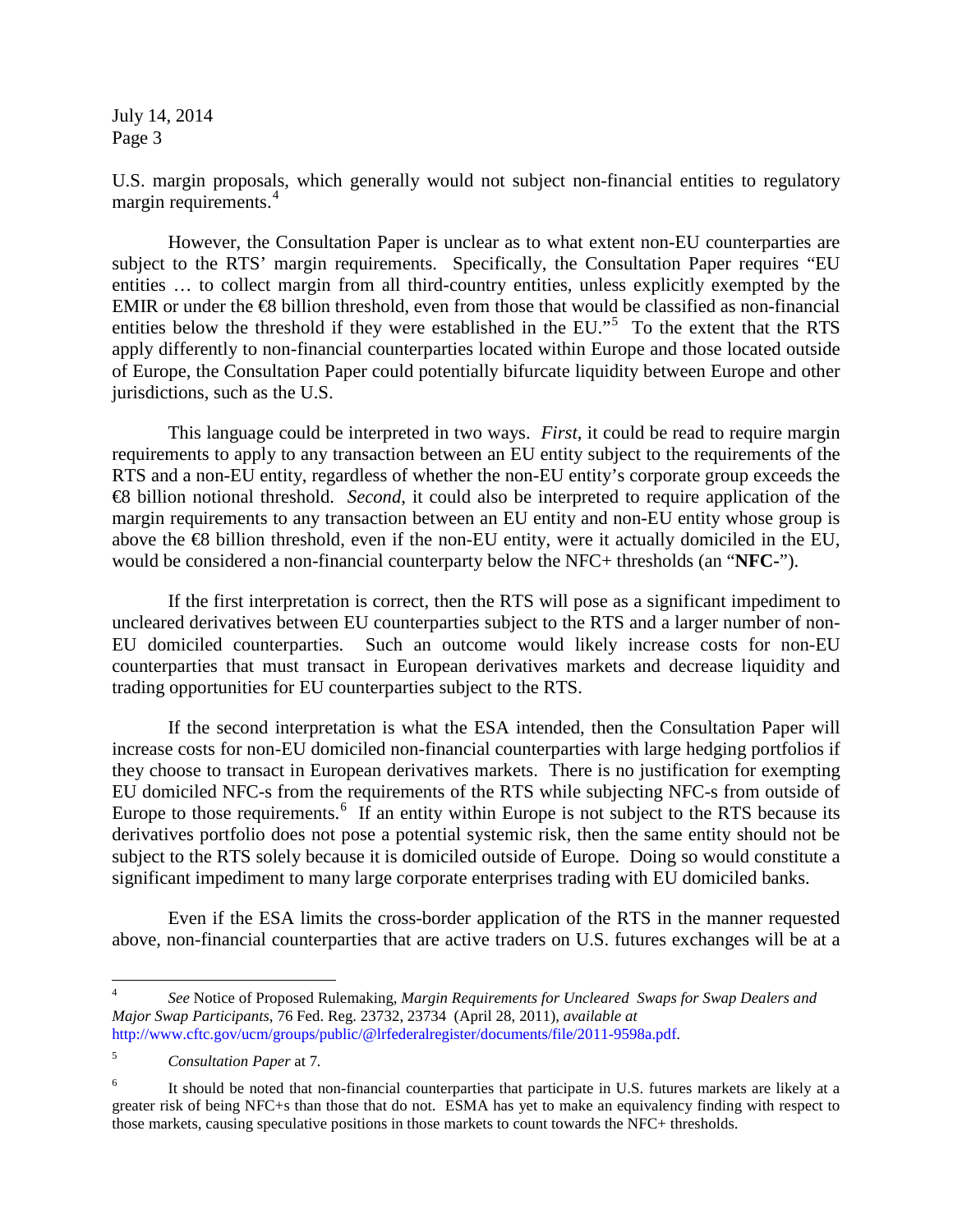U.S. margin proposals, which generally would not subject non-financial entities to regulatory margin requirements.<sup>[4](#page-2-0)</sup>

However, the Consultation Paper is unclear as to what extent non-EU counterparties are subject to the RTS' margin requirements. Specifically, the Consultation Paper requires "EU entities … to collect margin from all third-country entities, unless explicitly exempted by the EMIR or under the  $\bigoplus$  billion threshold, even from those that would be classified as non-financial entities below the threshold if they were established in the EU."<sup>[5](#page-2-1)</sup> To the extent that the RTS apply differently to non-financial counterparties located within Europe and those located outside of Europe, the Consultation Paper could potentially bifurcate liquidity between Europe and other jurisdictions, such as the U.S.

This language could be interpreted in two ways. *First*, it could be read to require margin requirements to apply to any transaction between an EU entity subject to the requirements of the RTS and a non-EU entity, regardless of whether the non-EU entity's corporate group exceeds the €8 billion notional threshold. *Second*, it could also be interpreted to require application of the margin requirements to any transaction between an EU entity and non-EU entity whose group is above the  $\otimes$  billion threshold, even if the non-EU entity, were it actually domiciled in the EU, would be considered a non-financial counterparty below the NFC+ thresholds (an "**NFC-**").

If the first interpretation is correct, then the RTS will pose as a significant impediment to uncleared derivatives between EU counterparties subject to the RTS and a larger number of non-EU domiciled counterparties. Such an outcome would likely increase costs for non-EU counterparties that must transact in European derivatives markets and decrease liquidity and trading opportunities for EU counterparties subject to the RTS.

If the second interpretation is what the ESA intended, then the Consultation Paper will increase costs for non-EU domiciled non-financial counterparties with large hedging portfolios if they choose to transact in European derivatives markets. There is no justification for exempting EU domiciled NFC-s from the requirements of the RTS while subjecting NFC-s from outside of Europe to those requirements.<sup>[6](#page-2-2)</sup> If an entity within Europe is not subject to the RTS because its derivatives portfolio does not pose a potential systemic risk, then the same entity should not be subject to the RTS solely because it is domiciled outside of Europe. Doing so would constitute a significant impediment to many large corporate enterprises trading with EU domiciled banks.

Even if the ESA limits the cross-border application of the RTS in the manner requested above, non-financial counterparties that are active traders on U.S. futures exchanges will be at a

<span id="page-2-0"></span> <sup>4</sup> *See* Notice of Proposed Rulemaking, *Margin Requirements for Uncleared Swaps for Swap Dealers and Major Swap Participants*, 76 Fed. Reg. 23732, 23734 (April 28, 2011), *available at*  [http://www.cftc.gov/ucm/groups/public/@lrfederalregister/documents/file/2011-9598a.pdf.](http://www.cftc.gov/ucm/groups/public/@lrfederalregister/documents/file/2011-9598a.pdf)

<span id="page-2-1"></span><sup>5</sup> *Consultation Paper* at 7*.*

<span id="page-2-2"></span>It should be noted that non-financial counterparties that participate in U.S. futures markets are likely at a greater risk of being NFC+s than those that do not. ESMA has yet to make an equivalency finding with respect to those markets, causing speculative positions in those markets to count towards the NFC+ thresholds.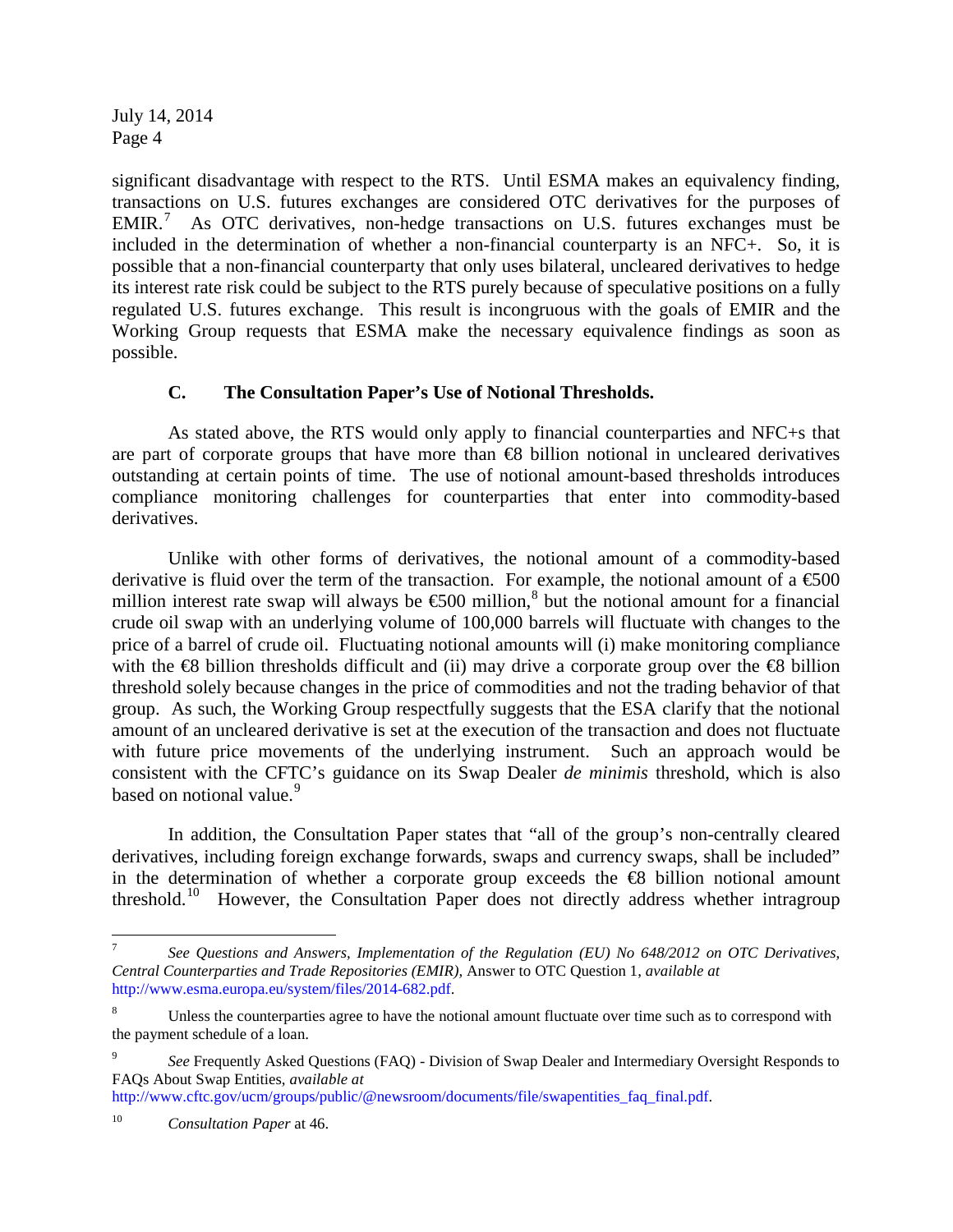significant disadvantage with respect to the RTS. Until ESMA makes an equivalency finding, transactions on U.S. futures exchanges are considered OTC derivatives for the purposes of EMIR.<sup>[7](#page-3-0)</sup> As OTC derivatives, non-hedge transactions on U.S. futures exchanges must be included in the determination of whether a non-financial counterparty is an NFC+. So, it is possible that a non-financial counterparty that only uses bilateral, uncleared derivatives to hedge its interest rate risk could be subject to the RTS purely because of speculative positions on a fully regulated U.S. futures exchange. This result is incongruous with the goals of EMIR and the Working Group requests that ESMA make the necessary equivalence findings as soon as possible.

### **C. The Consultation Paper's Use of Notional Thresholds.**

As stated above, the RTS would only apply to financial counterparties and NFC+s that are part of corporate groups that have more than €8 billion notional in uncleared derivatives outstanding at certain points of time. The use of notional amount-based thresholds introduces compliance monitoring challenges for counterparties that enter into commodity-based derivatives.

Unlike with other forms of derivatives, the notional amount of a commodity-based derivative is fluid over the term of the transaction. For example, the notional amount of a  $\epsilon$ 500 million interest rate swap will always be  $\epsilon$ 500 million,<sup>[8](#page-3-1)</sup> but the notional amount for a financial crude oil swap with an underlying volume of 100,000 barrels will fluctuate with changes to the price of a barrel of crude oil. Fluctuating notional amounts will (i) make monitoring compliance with the  $\otimes$  billion thresholds difficult and (ii) may drive a corporate group over the  $\otimes$  billion threshold solely because changes in the price of commodities and not the trading behavior of that group. As such, the Working Group respectfully suggests that the ESA clarify that the notional amount of an uncleared derivative is set at the execution of the transaction and does not fluctuate with future price movements of the underlying instrument. Such an approach would be consistent with the CFTC's guidance on its Swap Dealer *de minimis* threshold, which is also based on notional value.<sup>[9](#page-3-2)</sup>

In addition, the Consultation Paper states that "all of the group's non-centrally cleared derivatives, including foreign exchange forwards, swaps and currency swaps, shall be included" in the determination of whether a corporate group exceeds the  $\bigoplus$  billion notional amount threshold.[10](#page-3-3) However, the Consultation Paper does not directly address whether intragroup

http://www.cftc.gov/ucm/groups/public/@newsroom/documents/file/swapentities faq\_final.pdf.

<span id="page-3-0"></span> <sup>7</sup> *See Questions and Answers, Implementation of the Regulation (EU) No 648/2012 on OTC Derivatives, Central Counterparties and Trade Repositories (EMIR),* Answer to OTC Question 1, *available at* [http://www.esma.europa.eu/system/files/2014-682.pdf.](http://www.esma.europa.eu/system/files/2014-682.pdf)

<span id="page-3-1"></span>Unless the counterparties agree to have the notional amount fluctuate over time such as to correspond with the payment schedule of a loan.

<span id="page-3-2"></span><sup>9</sup> *See* Frequently Asked Questions (FAQ) - Division of Swap Dealer and Intermediary Oversight Responds to FAQs About Swap Entities, *available at* 

<span id="page-3-3"></span><sup>10</sup> *Consultation Paper* at 46.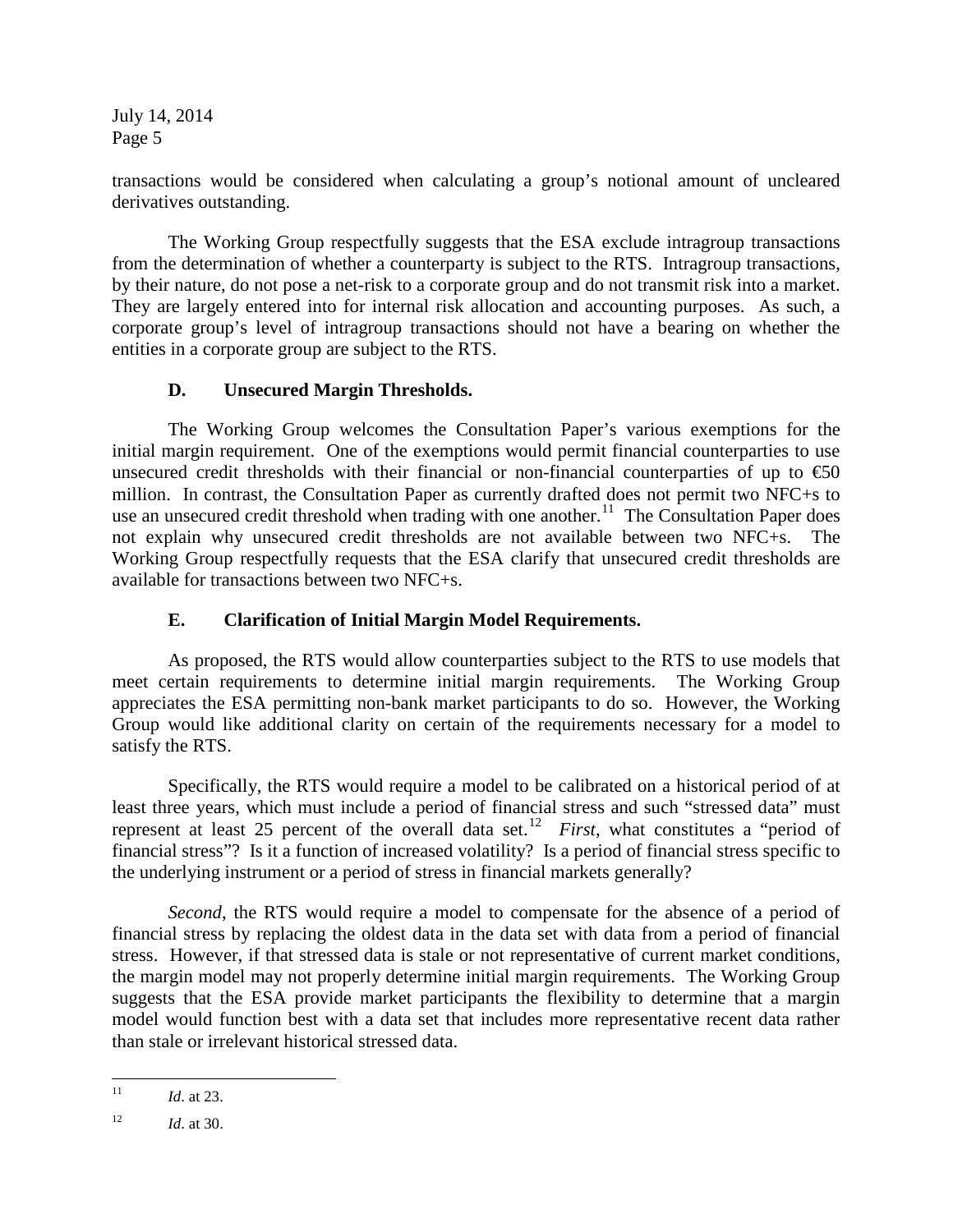transactions would be considered when calculating a group's notional amount of uncleared derivatives outstanding.

The Working Group respectfully suggests that the ESA exclude intragroup transactions from the determination of whether a counterparty is subject to the RTS. Intragroup transactions, by their nature, do not pose a net-risk to a corporate group and do not transmit risk into a market. They are largely entered into for internal risk allocation and accounting purposes. As such, a corporate group's level of intragroup transactions should not have a bearing on whether the entities in a corporate group are subject to the RTS.

## **D. Unsecured Margin Thresholds.**

The Working Group welcomes the Consultation Paper's various exemptions for the initial margin requirement. One of the exemptions would permit financial counterparties to use unsecured credit thresholds with their financial or non-financial counterparties of up to  $\epsilon$ 60 million. In contrast, the Consultation Paper as currently drafted does not permit two NFC+s to use an unsecured credit threshold when trading with one another.<sup>11</sup> The Consultation Paper does not explain why unsecured credit thresholds are not available between two NFC+s. The Working Group respectfully requests that the ESA clarify that unsecured credit thresholds are available for transactions between two NFC+s.

# **E. Clarification of Initial Margin Model Requirements.**

As proposed, the RTS would allow counterparties subject to the RTS to use models that meet certain requirements to determine initial margin requirements. The Working Group appreciates the ESA permitting non-bank market participants to do so. However, the Working Group would like additional clarity on certain of the requirements necessary for a model to satisfy the RTS.

Specifically*,* the RTS would require a model to be calibrated on a historical period of at least three years, which must include a period of financial stress and such "stressed data" must represent at least 25 percent of the overall data set.<sup>[12](#page-4-1)</sup> *First*, what constitutes a "period of financial stress"? Is it a function of increased volatility? Is a period of financial stress specific to the underlying instrument or a period of stress in financial markets generally?

*Second*, the RTS would require a model to compensate for the absence of a period of financial stress by replacing the oldest data in the data set with data from a period of financial stress. However, if that stressed data is stale or not representative of current market conditions, the margin model may not properly determine initial margin requirements. The Working Group suggests that the ESA provide market participants the flexibility to determine that a margin model would function best with a data set that includes more representative recent data rather than stale or irrelevant historical stressed data.

<span id="page-4-0"></span><sup>&</sup>lt;sup>11</sup> *Id.* at 23.

<span id="page-4-1"></span> $12$  *Id.* at 30.